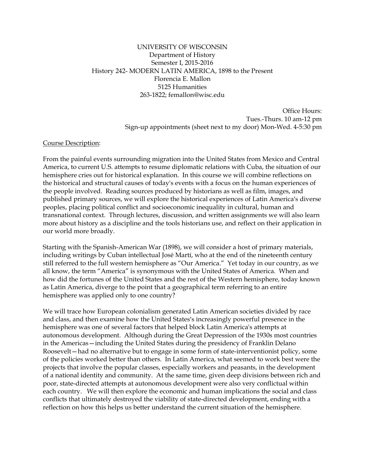#### UNIVERSITY OF WISCONSIN Department of History Semester I, 2015-2016 History 242- MODERN LATIN AMERICA, 1898 to the Present Florencia E. Mallon 5125 Humanities 263-1822; femallon@wisc.edu

Office Hours: Tues.-Thurs. 10 am-12 pm Sign-up appointments (sheet next to my door) Mon-Wed. 4-5:30 pm

#### Course Description:

From the painful events surrounding migration into the United States from Mexico and Central America, to current U.S. attempts to resume diplomatic relations with Cuba, the situation of our hemisphere cries out for historical explanation. In this course we will combine reflections on the historical and structural causes of today's events with a focus on the human experiences of the people involved. Reading sources produced by historians as well as film, images, and published primary sources, we will explore the historical experiences of Latin America's diverse peoples, placing political conflict and socioeconomic inequality in cultural, human and transnational context. Through lectures, discussion, and written assignments we will also learn more about history as a discipline and the tools historians use, and reflect on their application in our world more broadly.

Starting with the Spanish-American War (1898), we will consider a host of primary materials, including writings by Cuban intellectual José Martí, who at the end of the nineteenth century still referred to the full western hemisphere as "Our America." Yet today in our country, as we all know, the term "America" is synonymous with the United States of America. When and how did the fortunes of the United States and the rest of the Western hemisphere, today known as Latin America, diverge to the point that a geographical term referring to an entire hemisphere was applied only to one country?

We will trace how European colonialism generated Latin American societies divided by race and class, and then examine how the United States's increasingly powerful presence in the hemisphere was one of several factors that helped block Latin America's attempts at autonomous development. Although during the Great Depression of the 1930s most countries in the Americas—including the United States during the presidency of Franklin Delano Roosevelt—had no alternative but to engage in some form of state-interventionist policy, some of the policies worked better than others. In Latin America, what seemed to work best were the projects that involve the popular classes, especially workers and peasants, in the development of a national identity and community. At the same time, given deep divisions between rich and poor, state-directed attempts at autonomous development were also very conflictual within each country. We will then explore the economic and human implications the social and class conflicts that ultimately destroyed the viability of state-directed development, ending with a reflection on how this helps us better understand the current situation of the hemisphere.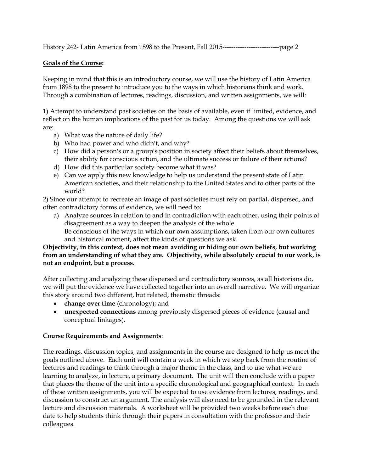### **Goals of the Course:**

Keeping in mind that this is an introductory course, we will use the history of Latin America from 1898 to the present to introduce you to the ways in which historians think and work. Through a combination of lectures, readings, discussion, and written assignments, we will:

1) Attempt to understand past societies on the basis of available, even if limited, evidence, and reflect on the human implications of the past for us today. Among the questions we will ask are:

- a) What was the nature of daily life?
- b) Who had power and who didn't, and why?
- c) How did a person's or a group's position in society affect their beliefs about themselves, their ability for conscious action, and the ultimate success or failure of their actions?
- d) How did this particular society become what it was?
- e) Can we apply this new knowledge to help us understand the present state of Latin American societies, and their relationship to the United States and to other parts of the world?

2) Since our attempt to recreate an image of past societies must rely on partial, dispersed, and often contradictory forms of evidence, we will need to:

a) Analyze sources in relation to and in contradiction with each other, using their points of disagreement as a way to deepen the analysis of the whole. Be conscious of the ways in which our own assumptions, taken from our own cultures

and historical moment, affect the kinds of questions we ask. **Objectivity, in this context, does not mean avoiding or hiding our own beliefs, but working** 

# **from an understanding of what they are. Objectivity, while absolutely crucial to our work, is not an endpoint, but a process.**

After collecting and analyzing these dispersed and contradictory sources, as all historians do, we will put the evidence we have collected together into an overall narrative. We will organize this story around two different, but related, thematic threads:

- **change over time** (chronology); and
- **unexpected connections** among previously dispersed pieces of evidence (causal and conceptual linkages).

## **Course Requirements and Assignments**:

The readings, discussion topics, and assignments in the course are designed to help us meet the goals outlined above. Each unit will contain a week in which we step back from the routine of lectures and readings to think through a major theme in the class, and to use what we are learning to analyze, in lecture, a primary document. The unit will then conclude with a paper that places the theme of the unit into a specific chronological and geographical context. In each of these written assignments, you will be expected to use evidence from lectures, readings, and discussion to construct an argument. The analysis will also need to be grounded in the relevant lecture and discussion materials. A worksheet will be provided two weeks before each due date to help students think through their papers in consultation with the professor and their colleagues.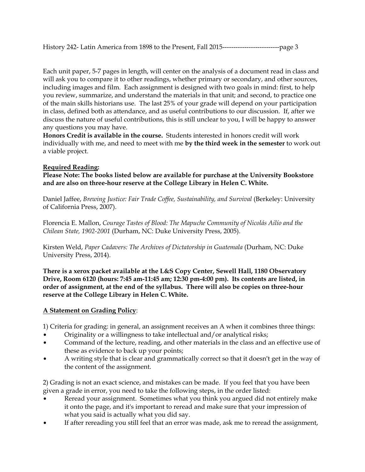Each unit paper, 5-7 pages in length, will center on the analysis of a document read in class and will ask you to compare it to other readings, whether primary or secondary, and other sources, including images and film. Each assignment is designed with two goals in mind: first, to help you review, summarize, and understand the materials in that unit; and second, to practice one of the main skills historians use. The last 25% of your grade will depend on your participation in class, defined both as attendance, and as useful contributions to our discussion. If, after we discuss the nature of useful contributions, this is still unclear to you, I will be happy to answer any questions you may have.

**Honors Credit is available in the course.** Students interested in honors credit will work individually with me, and need to meet with me **by the third week in the semester** to work out a viable project.

### **Required Reading:**

**Please Note: The books listed below are available for purchase at the University Bookstore and are also on three-hour reserve at the College Library in Helen C. White.** 

Daniel Jaffee, *Brewing Justice: Fair Trade Coffee, Sustainability, and Survival* (Berkeley: University of California Press, 2007).

Florencia E. Mallon, *Courage Tastes of Blood: The Mapuche Community of Nicolás Ailío and the Chilean State, 1902-2001* (Durham, NC: Duke University Press, 2005).

Kirsten Weld, *Paper Cadavers: The Archives of Dictatorship in Guatemala* (Durham, NC: Duke University Press, 2014).

**There is a xerox packet available at the L&S Copy Center, Sewell Hall, 1180 Observatory Drive, Room 6120 (hours: 7:45 am-11:45 am; 12:30 pm-4:00 pm). Its contents are listed, in order of assignment, at the end of the syllabus. There will also be copies on three-hour reserve at the College Library in Helen C. White.**

## **A Statement on Grading Policy**:

1) Criteria for grading: in general, an assignment receives an A when it combines three things:

- Originality or a willingness to take intellectual and/or analytical risks;
- Command of the lecture, reading, and other materials in the class and an effective use of these as evidence to back up your points;
- A writing style that is clear and grammatically correct so that it doesn't get in the way of the content of the assignment.

2) Grading is not an exact science, and mistakes can be made. If you feel that you have been given a grade in error, you need to take the following steps, in the order listed:

- Reread your assignment. Sometimes what you think you argued did not entirely make it onto the page, and it's important to reread and make sure that your impression of what you said is actually what you did say.
- If after rereading you still feel that an error was made, ask me to reread the assignment,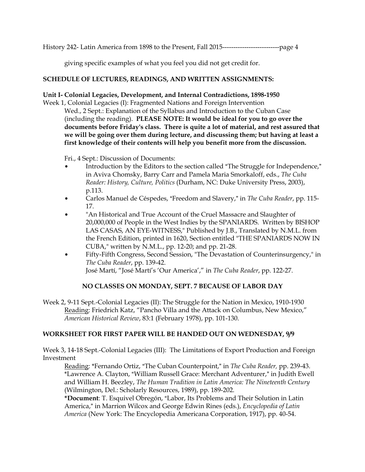giving specific examples of what you feel you did not get credit for.

### **SCHEDULE OF LECTURES, READINGS, AND WRITTEN ASSIGNMENTS:**

#### **Unit I- Colonial Legacies, Development, and Internal Contradictions, 1898-1950**

Week 1, Colonial Legacies (I): Fragmented Nations and Foreign Intervention Wed., 2 Sept.: Explanation of the Syllabus and Introduction to the Cuban Case (including the reading). **PLEASE NOTE: It would be ideal for you to go over the documents before Friday's class. There is quite a lot of material, and rest assured that we will be going over them during lecture, and discussing them; but having at least a first knowledge of their contents will help you benefit more from the discussion.** 

Fri., 4 Sept.: Discussion of Documents:

- Introduction by the Editors to the section called "The Struggle for Independence," in Aviva Chomsky, Barry Carr and Pamela Maria Smorkaloff, eds., *The Cuba Reader: History, Culture, Politics* (Durham, NC: Duke University Press, 2003), p.113.
- Carlos Manuel de Céspedes, "Freedom and Slavery," in *The Cuba Reader*, pp. 115-17.
- "An Historical and True Account of the Cruel Massacre and Slaughter of 20,000,000 of People in the West Indies by the SPANIARDS. Written by BISHOP LAS CASAS, AN EYE-WITNESS," Published by J.B., Translated by N.M.L. from the French Edition, printed in 1620, Section entitled "THE SPANIARDS NOW IN CUBA," written by N.M.L., pp. 12-20; and pp. 21-28.
- Fifty-Fifth Congress, Second Session, "The Devastation of Counterinsurgency," in *The Cuba Reader*, pp. 139-42. José Martí, "José Martí's 'Our America'," in *The Cuba Reader*, pp. 122-27.

#### **NO CLASSES ON MONDAY, SEPT. 7 BECAUSE OF LABOR DAY**

Week 2, 9-11 Sept.-Colonial Legacies (II): The Struggle for the Nation in Mexico, 1910-1930 Reading: Friedrich Katz, "Pancho Villa and the Attack on Columbus, New Mexico," *American Historical Review*, 83:1 (February 1978), pp. 101-130.

#### **WORKSHEET FOR FIRST PAPER WILL BE HANDED OUT ON WEDNESDAY, 9/9**

Week 3, 14-18 Sept.-Colonial Legacies (III): The Limitations of Export Production and Foreign Investment

Reading: \*Fernando Ortiz, "The Cuban Counterpoint," in *The Cuba Reader*, pp. 239-43. \*Lawrence A. Clayton, "William Russell Grace: Merchant Adventurer," in Judith Ewell and William H. Beezley, *The Human Tradition in Latin America: The Nineteenth Century* (Wilmington, Del.: Scholarly Resources, 1989), pp. 189-202.

\*Document: T. Esquivel Obregón, "Labor, Its Problems and Their Solution in Latin America," in Marrion Wilcox and George Edwin Rines (eds.), *Encyclopedia of Latin America* (New York: The Encyclopedia Americana Corporation, 1917), pp. 40-54.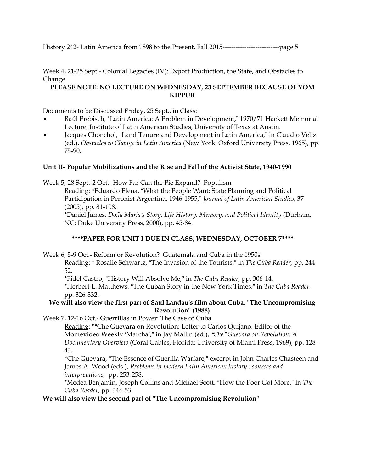Week 4, 21-25 Sept.- Colonial Legacies (IV): Export Production, the State, and Obstacles to Change

## **PLEASE NOTE: NO LECTURE ON WEDNESDAY, 23 SEPTEMBER BECAUSE OF YOM KIPPUR**

#### Documents to be Discussed Friday, 25 Sept., in Class:

- Raúl Prebisch, "Latin America: A Problem in Development," 1970/71 Hackett Memorial Lecture, Institute of Latin American Studies, University of Texas at Austin.
- Jacques Chonchol, "Land Tenure and Development in Latin America," in Claudio Veliz (ed.), *Obstacles to Change in Latin America* (New York: Oxford University Press, 1965), pp. 75-90.

## **Unit II- Popular Mobilizations and the Rise and Fall of the Activist State, 1940-1990**

Week 5, 28 Sept.-2 Oct.- How Far Can the Pie Expand? Populism

Reading: \*Eduardo Elena, "What the People Want: State Planning and Political Participation in Peronist Argentina, 1946-1955," *Journal of Latin American Studies*, 37 (2005), pp. 81-108.

\*Daniel James, *Doña María*=*s Story: Life History, Memory, and Political Identity* (Durham, NC: Duke University Press, 2000), pp. 45-84.

## **\*\*\*\*PAPER FOR UNIT I DUE IN CLASS, WEDNESDAY, OCTOBER 7\*\*\*\***

Week 6, 5-9 Oct.- Reform or Revolution? Guatemala and Cuba in the 1950s

Reading: \* Rosalie Schwartz, "The Invasion of the Tourists," in *The Cuba Reader*, pp. 244-52.

\*Fidel Castro, "History Will Absolve Me," in *The Cuba Reader*, pp. 306-14.

\*Herbert L. Matthews, "The Cuban Story in the New York Times," in *The Cuba Reader*, pp. 326-332.

### **We will also view the first part of Saul Landau's film about Cuba, "The Uncompromising Revolution" (1988)**

Week 7, 12-16 Oct.- Guerrillas in Power: The Case of Cuba

Reading: \*"Che Guevara on Revolution: Letter to Carlos Quijano, Editor of the Montevideo Weekly 'Marcha'," in Jay Mallin (ed.), "Che "Guevara on Revolution: A *Documentary Overview* (Coral Gables, Florida: University of Miami Press, 1969), pp. 128- 43.

\*Che Guevara, "The Essence of Guerilla Warfare," excerpt in John Charles Chasteen and James A. Wood (eds.), *Problems in modern Latin American history : sources and interpretations,*pp. 253-258.

\*Medea Benjamin, Joseph Collins and Michael Scott, "How the Poor Got More," in *The Cuba Reader,* pp. 344-53.

**We will also view the second part of "The Uncompromising Revolution"**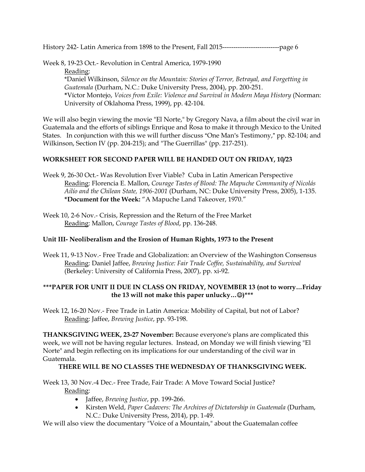Week 8, 19-23 Oct.- Revolution in Central America, 1979-1990 Reading: \*Daniel Wilkinson, *Silence on the Mountain: Stories of Terror, Betrayal, and Forgetting in Guatemala* (Durham, N.C.: Duke University Press, 2004), pp. 200-251. **\***Víctor Montejo, *Voices from Exile: Violence and Survival in Modern Maya History* (Norman: University of Oklahoma Press, 1999), pp. 42-104.

We will also begin viewing the movie "El Norte," by Gregory Nava, a film about the civil war in Guatemala and the efforts of siblings Enrique and Rosa to make it through Mexico to the United States. In conjunction with this we will further discuss "One Man's Testimony," pp. 82-104; and Wilkinson, Section IV (pp. 204-215); and "The Guerrillas" (pp. 217-251).

### **WORKSHEET FOR SECOND PAPER WILL BE HANDED OUT ON FRIDAY, 10/23**

- Week 9, 26-30 Oct.- Was Revolution Ever Viable? Cuba in Latin American Perspective Reading: Florencia E. Mallon, *Courage Tastes of Blood: The Mapuche Community of Nicolás Ailío and the Chilean State, 1906-2001* (Durham, NC: Duke University Press, 2005), 1-135. **\*Document for the Week:** "A Mapuche Land Takeover, 1970."
- Week 10, 2-6 Nov.- Crisis, Repression and the Return of the Free Market Reading: Mallon, *Courage Tastes of Blood*, pp. 136-248.

## **Unit III- Neoliberalism and the Erosion of Human Rights, 1973 to the Present**

Week 11, 9-13 Nov.- Free Trade and Globalization: an Overview of the Washington Consensus Reading: Daniel Jaffee, *Brewing Justice: Fair Trade Coffee, Sustainability, and Survival* (Berkeley: University of California Press, 2007), pp. xi-92.

### **\*\*\*PAPER FOR UNIT II DUE IN CLASS ON FRIDAY, NOVEMBER 13 (not to worry…Friday the 13 will not make this paper unlucky…)\*\*\***

Week 12, 16-20 Nov.- Free Trade in Latin America: Mobility of Capital, but not of Labor? Reading: Jaffee, *Brewing Justice*, pp. 93-198.

**THANKSGIVING WEEK, 23-27 November:** Because everyone's plans are complicated this week, we will not be having regular lectures. Instead, on Monday we will finish viewing "El Norte" and begin reflecting on its implications for our understanding of the civil war in Guatemala.

#### **THERE WILL BE NO CLASSES THE WEDNESDAY OF THANKSGIVING WEEK.**

Week 13, 30 Nov.-4 Dec.- Free Trade, Fair Trade: A Move Toward Social Justice? Reading:

- Jaffee, *Brewing Justice*, pp. 199-266.
- Kirsten Weld, *Paper Cadavers: The Archives of Dictatorship in Guatemala* (Durham, N.C.: Duke University Press, 2014), pp. 1-49.

We will also view the documentary "Voice of a Mountain," about the Guatemalan coffee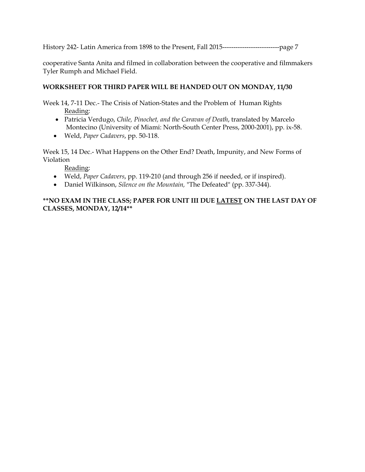cooperative Santa Anita and filmed in collaboration between the cooperative and filmmakers Tyler Rumph and Michael Field.

#### **WORKSHEET FOR THIRD PAPER WILL BE HANDED OUT ON MONDAY, 11/30**

Week 14, 7-11 Dec.- The Crisis of Nation-States and the Problem of Human Rights Reading:

- Patricia Verdugo, *Chile, Pinochet, and the Caravan of Death*, translated by Marcelo Montecino (University of Miami: North-South Center Press, 2000-2001), pp. ix-58.
- Weld, *Paper Cadavers*, pp. 50-118.

Week 15, 14 Dec.- What Happens on the Other End? Death, Impunity, and New Forms of Violation

Reading:

- Weld, *Paper Cadavers*, pp. 119-210 (and through 256 if needed, or if inspired).
- Daniel Wilkinson, *Silence on the Mountain,* "The Defeated" (pp. 337-344).

#### **\*\*NO EXAM IN THE CLASS; PAPER FOR UNIT III DUE LATEST ON THE LAST DAY OF CLASSES, MONDAY, 12/14\*\***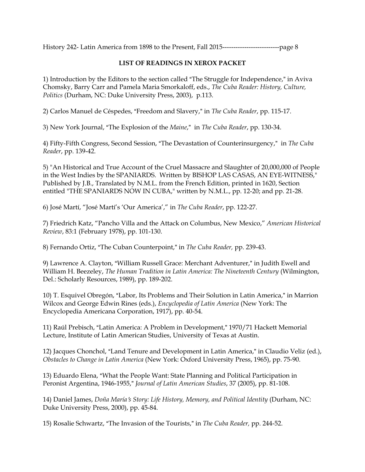#### **LIST OF READINGS IN XEROX PACKET**

1) Introduction by the Editors to the section called "The Struggle for Independence," in Aviva Chomsky, Barry Carr and Pamela Maria Smorkaloff, eds., *The Cuba Reader: History, Culture, Politics* (Durham, NC: Duke University Press, 2003), p.113.

2) Carlos Manuel de Céspedes, "Freedom and Slavery," in *The Cuba Reader*, pp. 115-17.

3) New York Journal, AThe Explosion of the *Maine*,@ in *The Cuba Reader*, pp. 130-34.

4) Fifty-Fifth Congress, Second Session, "The Devastation of Counterinsurgency," in *The Cuba Reader*, pp. 139-42.

5) "An Historical and True Account of the Cruel Massacre and Slaughter of 20,000,000 of People in the West Indies by the SPANIARDS. Written by BISHOP LAS CASAS, AN EYE-WITNESS," Published by J.B., Translated by N.M.L. from the French Edition, printed in 1620, Section entitled "THE SPANIARDS NOW IN CUBA," written by N.M.L., pp. 12-20; and pp. 21-28.

6) José Martí, "José Martí's 'Our America'," in *The Cuba Reader*, pp. 122-27.

7) Friedrich Katz, "Pancho Villa and the Attack on Columbus, New Mexico," *American Historical Review*, 83:1 (February 1978), pp. 101-130.

8) Fernando Ortiz, "The Cuban Counterpoint," in *The Cuba Reader*, pp. 239-43.

9) Lawrence A. Clayton, "William Russell Grace: Merchant Adventurer," in Judith Ewell and William H. Beezeley, *The Human Tradition in Latin America: The Nineteenth Century* (Wilmington, Del.: Scholarly Resources, 1989), pp. 189-202.

10) T. Esquivel Obregón, "Labor, Its Problems and Their Solution in Latin America," in Marrion Wilcox and George Edwin Rines (eds.), *Encyclopedia of Latin America* (New York: The Encyclopedia Americana Corporation, 1917), pp. 40-54.

11) Raúl Prebisch, "Latin America: A Problem in Development," 1970/71 Hackett Memorial Lecture, Institute of Latin American Studies, University of Texas at Austin.

12) Jacques Chonchol, "Land Tenure and Development in Latin America," in Claudio Veliz (ed.), *Obstacles to Change in Latin America* (New York: Oxford University Press, 1965), pp. 75-90.

13) Eduardo Elena, "What the People Want: State Planning and Political Participation in Peronist Argentina, 1946-1955," *Journal of Latin American Studies*, 37 (2005), pp. 81-108.

14) Daniel James, *Doña María's Story: Life History, Memory, and Political Identity* (Durham, NC: Duke University Press, 2000), pp. 45-84.

15) Rosalie Schwartz, "The Invasion of the Tourists," in *The Cuba Reader*, pp. 244-52.